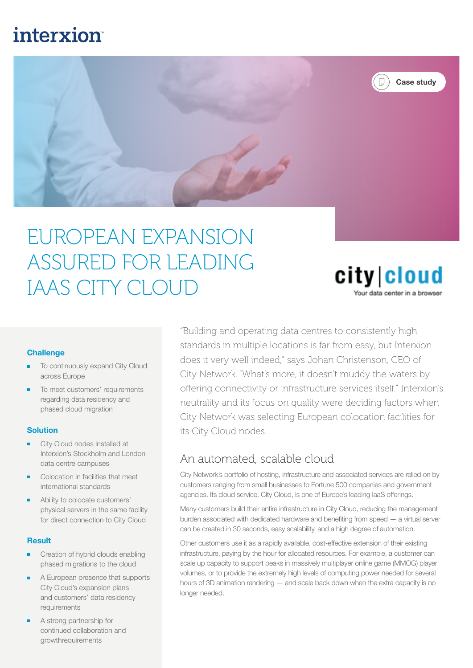## **interxion**



# EUROPEAN EXPANSION ASSURED FOR LEADING IAAS CITY CLOUD

city|cloud Your data center in a browse

#### **Challenge**

- To continuously expand City Cloud across Europe
- To meet customers' requirements regarding data residency and phased cloud migration

#### **Solution**

- City Cloud nodes installed at Interxion's Stockholm and London data centre campuses
- Colocation in facilities that meet international standards
- Ability to colocate customers' physical servers in the same facility for direct connection to City Cloud

#### **Result**

- Creation of hybrid clouds enabling phased migrations to the cloud
- A European presence that supports City Cloud's expansion plans and customers' data residency requirements
- A strong partnership for continued collaboration and growthrequirements

"Building and operating data centres to consistently high standards in multiple locations is far from easy, but Interxion does it very well indeed," says Johan Christenson, CEO of City Network. "What's more, it doesn't muddy the waters by offering connectivity or infrastructure services itself." Interxion's neutrality and its focus on quality were deciding factors when City Network was selecting European colocation facilities for its City Cloud nodes.

#### An automated, scalable cloud

City Network's portfolio of hosting, infrastructure and associated services are relied on by customers ranging from small businesses to Fortune 500 companies and government agencies. Its cloud service, City Cloud, is one of Europe's leading IaaS offerings.

Many customers build their entire infrastructure in City Cloud, reducing the management burden associated with dedicated hardware and benefiting from speed — a virtual server can be created in 30 seconds, easy scalability, and a high degree of automation.

Other customers use it as a rapidly available, cost-effective extension of their existing infrastructure, paying by the hour for allocated resources. For example, a customer can scale up capacity to support peaks in massively multiplayer online game (MMOG) player volumes, or to provide the extremely high levels of computing power needed for several hours of 3D animation rendering — and scale back down when the extra capacity is no longer needed.